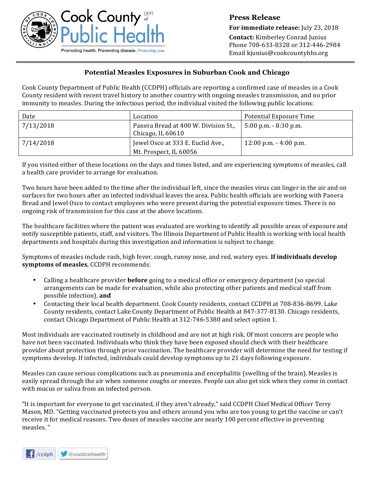

**Press Release For immediate release:** July 23, 2018 **Contact:** Kimberley Conrad Junius Phone 708-633-8328 or 312-446-2984 Email kjunius@cookcountyhhs.org

## **Potential Measles Exposures in Suburban Cook and Chicago**

Cook County Department of Public Health (CCDPH) officials are reporting a confirmed case of measles in a Cook County resident with recent travel history to another country with ongoing measles transmission, and no prior immunity to measles. During the infectious period, the individual visited the following public locations:

| Date      | Location                                                    | Potential Exposure Time   |
|-----------|-------------------------------------------------------------|---------------------------|
| 7/13/2018 | Panera Bread at 400 W. Division St.,<br>Chicago, IL $60610$ | $5:00$ p.m. $-8:30$ p.m.  |
| 7/14/2018 | Jewel Osco at 333 E. Euclid Ave.,<br>Mt. Prospect, IL 60056 | $12:00$ p.m. $-4:00$ p.m. |

If you visited either of these locations on the days and times listed, and are experiencing symptoms of measles, call a health care provider to arrange for evaluation.

Two hours have been added to the time after the individual left, since the measles virus can linger in the air and on surfaces for two hours after an infected individual leaves the area. Public health officials are working with Panera Bread and Jewel Osco to contact employees who were present during the potential exposure times. There is no ongoing risk of transmission for this case at the above locations.

The healthcare facilities where the patient was evaluated are working to identify all possible areas of exposure and notify susceptible patients, staff, and visitors. The Illinois Department of Public Health is working with local health departments and hospitals during this investigation and information is subject to change.

Symptoms of measles include rash, high fever, cough, runny nose, and red, watery eyes. If individuals develop symptoms of measles, CCDPH recommends:

- Calling a healthcare provider **before** going to a medical office or emergency department (so special arrangements can be made for evaluation, while also protecting other patients and medical staff from possible infection), and
- Contacting their local health department. Cook County residents, contact CCDPH at 708-836-8699. Lake County residents, contact Lake County Department of Public Health at 847-377-8130. Chicago residents, contact Chicago Department of Public Health at 312-746-5380 and select option 1.

Most individuals are vaccinated routinely in childhood and are not at high risk. Of most concern are people who have not been vaccinated. Individuals who think they have been exposed should check with their healthcare provider about protection through prior vaccination. The healthcare provider will determine the need for testing if symptoms develop. If infected, individuals could develop symptoms up to 21 days following exposure.

Measles can cause serious complications such as pneumonia and encephalitis (swelling of the brain). Measles is easily spread through the air when someone coughs or sneezes. People can also get sick when they come in contact with mucus or saliva from an infected person.

"It is important for everyone to get vaccinated, if they aren't already," said CCDPH Chief Medical Officer Terry Mason, MD. "Getting vaccinated protects you and others around you who are too young to get the vaccine or can't receive it for medical reasons. Two doses of measles vaccine are nearly 100 percent effective in preventing measles. "